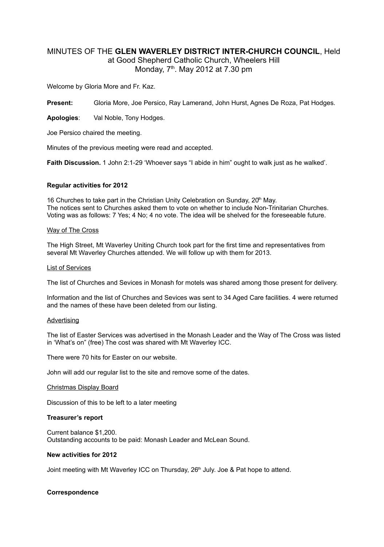## MINUTES OF THE **GLEN WAVERLEY DISTRICT INTER-CHURCH COUNCIL**, Held

at Good Shepherd Catholic Church, Wheelers Hill Monday, 7<sup>th</sup>. May 2012 at 7.30 pm

Welcome by Gloria More and Fr. Kaz.

**Present:** Gloria More, Joe Persico, Ray Lamerand, John Hurst, Agnes De Roza, Pat Hodges.

**Apologies**: Val Noble, Tony Hodges.

Joe Persico chaired the meeting.

Minutes of the previous meeting were read and accepted.

**Faith Discussion.** 1 John 2:1-29 'Whoever says "I abide in him" ought to walk just as he walked'.

## **Regular activities for 2012**

16 Churches to take part in the Christian Unity Celebration on Sunday,  $20<sup>th</sup>$  May. The notices sent to Churches asked them to vote on whether to include Non-Trinitarian Churches. Voting was as follows: 7 Yes; 4 No; 4 no vote. The idea will be shelved for the foreseeable future.

#### Way of The Cross

The High Street, Mt Waverley Uniting Church took part for the first time and representatives from several Mt Waverley Churches attended. We will follow up with them for 2013.

#### List of Services

The list of Churches and Sevices in Monash for motels was shared among those present for delivery.

Information and the list of Churches and Sevices was sent to 34 Aged Care facilities. 4 were returned and the names of these have been deleted from our listing.

#### Advertising

The list of Easter Services was advertised in the Monash Leader and the Way of The Cross was listed in 'What's on" (free) The cost was shared with Mt Waverley ICC.

There were 70 hits for Easter on our website.

John will add our regular list to the site and remove some of the dates.

#### Christmas Display Board

Discussion of this to be left to a later meeting

#### **Treasurer's report**

Current balance \$1,200. Outstanding accounts to be paid: Monash Leader and McLean Sound.

## **New activities for 2012**

Joint meeting with Mt Waverley ICC on Thursday,  $26<sup>th</sup>$  July. Joe & Pat hope to attend.

## **Correspondence**